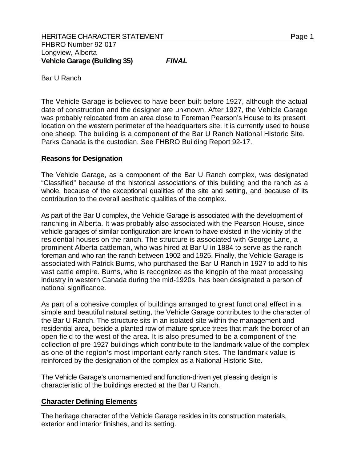Bar U Ranch

The Vehicle Garage is believed to have been built before 1927, although the actual date of construction and the designer are unknown. After 1927, the Vehicle Garage was probably relocated from an area close to Foreman Pearson's House to its present location on the western perimeter of the headquarters site. It is currently used to house one sheep. The building is a component of the Bar U Ranch National Historic Site. Parks Canada is the custodian. See FHBRO Building Report 92-17.

## **Reasons for Designation**

The Vehicle Garage, as a component of the Bar U Ranch complex, was designated "Classified" because of the historical associations of this building and the ranch as a whole, because of the exceptional qualities of the site and setting, and because of its contribution to the overall aesthetic qualities of the complex.

As part of the Bar U complex, the Vehicle Garage is associated with the development of ranching in Alberta. It was probably also associated with the Pearson House, since vehicle garages of similar configuration are known to have existed in the vicinity of the residential houses on the ranch. The structure is associated with George Lane, a prominent Alberta cattleman, who was hired at Bar U in 1884 to serve as the ranch foreman and who ran the ranch between 1902 and 1925. Finally, the Vehicle Garage is associated with Patrick Burns, who purchased the Bar U Ranch in 1927 to add to his vast cattle empire. Burns, who is recognized as the kingpin of the meat processing industry in western Canada during the mid-1920s, has been designated a person of national significance.

As part of a cohesive complex of buildings arranged to great functional effect in a simple and beautiful natural setting, the Vehicle Garage contributes to the character of the Bar U Ranch. The structure sits in an isolated site within the management and residential area, beside a planted row of mature spruce trees that mark the border of an open field to the west of the area. It is also presumed to be a component of the collection of pre-1927 buildings which contribute to the landmark value of the complex as one of the region's most important early ranch sites. The landmark value is reinforced by the designation of the complex as a National Historic Site.

The Vehicle Garage's unornamented and function-driven yet pleasing design is characteristic of the buildings erected at the Bar U Ranch.

## **Character Defining Elements**

The heritage character of the Vehicle Garage resides in its construction materials, exterior and interior finishes, and its setting.